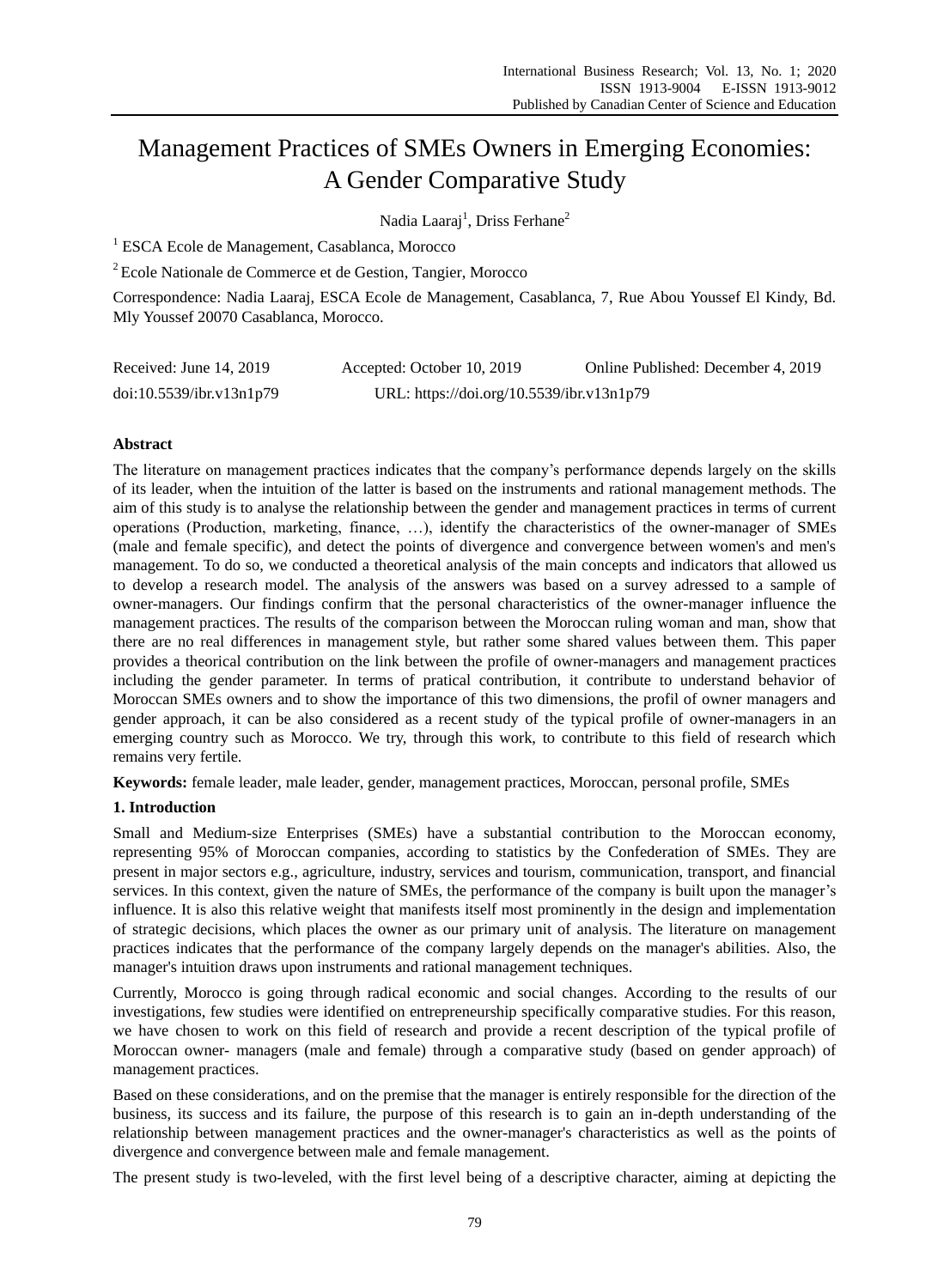# Management Practices of SMEs Owners in Emerging Economies: A Gender Comparative Study

Nadia Laaraj<sup>1</sup>, Driss Ferhane<sup>2</sup>

<sup>1</sup> ESCA Ecole de Management, Casablanca, Morocco

<sup>2</sup> Ecole Nationale de Commerce et de Gestion, Tangier, Morocco

Correspondence: Nadia Laaraj, ESCA Ecole de Management, Casablanca, 7, Rue Abou Youssef El Kindy, Bd. Mly Youssef 20070 Casablanca, Morocco.

| Received: June 14, 2019  | Accepted: October 10, 2019                | Online Published: December 4, 2019 |
|--------------------------|-------------------------------------------|------------------------------------|
| doi:10.5539/ibr.v13n1p79 | URL: https://doi.org/10.5539/ibr.v13n1p79 |                                    |

# **Abstract**

The literature on management practices indicates that the company's performance depends largely on the skills of its leader, when the intuition of the latter is based on the instruments and rational management methods. The aim of this study is to analyse the relationship between the gender and management practices in terms of current operations (Production, marketing, finance, …), identify the characteristics of the owner-manager of SMEs (male and female specific), and detect the points of divergence and convergence between women's and men's management. To do so, we conducted a theoretical analysis of the main concepts and indicators that allowed us to develop a research model. The analysis of the answers was based on a survey adressed to a sample of owner-managers. Our findings confirm that the personal characteristics of the owner-manager influence the management practices. The results of the comparison between the Moroccan ruling woman and man, show that there are no real differences in management style, but rather some shared values between them. This paper provides a theorical contribution on the link between the profile of owner-managers and management practices including the gender parameter. In terms of pratical contribution, it contribute to understand behavior of Moroccan SMEs owners and to show the importance of this two dimensions, the profil of owner managers and gender approach, it can be also considered as a recent study of the typical profile of owner-managers in an emerging country such as Morocco. We try, through this work, to contribute to this field of research which remains very fertile.

**Keywords:** female leader, male leader, gender, management practices, Moroccan, personal profile, SMEs

# **1. Introduction**

Small and Medium-size Enterprises (SMEs) have a substantial contribution to the Moroccan economy, representing 95% of Moroccan companies, according to statistics by the Confederation of SMEs. They are present in major sectors e.g., agriculture, industry, services and tourism, communication, transport, and financial services. In this context, given the nature of SMEs, the performance of the company is built upon the manager's influence. It is also this relative weight that manifests itself most prominently in the design and implementation of strategic decisions, which places the owner as our primary unit of analysis. The literature on management practices indicates that the performance of the company largely depends on the manager's abilities. Also, the manager's intuition draws upon instruments and rational management techniques.

Currently, Morocco is going through radical economic and social changes. According to the results of our investigations, few studies were identified on entrepreneurship specifically comparative studies. For this reason, we have chosen to work on this field of research and provide a recent description of the typical profile of Moroccan owner- managers (male and female) through a comparative study (based on gender approach) of management practices.

Based on these considerations, and on the premise that the manager is entirely responsible for the direction of the business, its success and its failure, the purpose of this research is to gain an in-depth understanding of the relationship between management practices and the owner-manager's characteristics as well as the points of divergence and convergence between male and female management.

The present study is two-leveled, with the first level being of a descriptive character, aiming at depicting the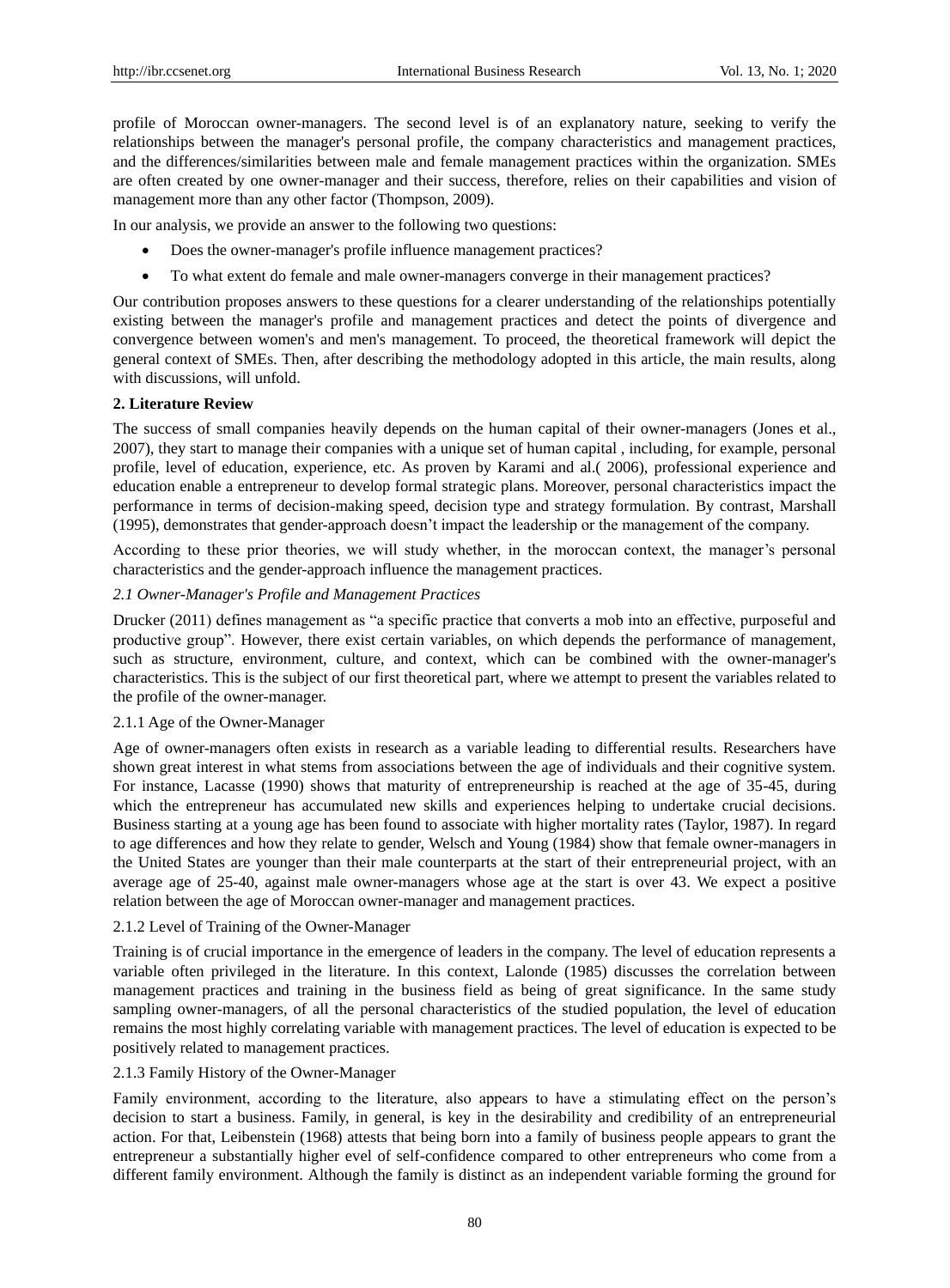profile of Moroccan owner-managers. The second level is of an explanatory nature, seeking to verify the relationships between the manager's personal profile, the company characteristics and management practices, and the differences/similarities between male and female management practices within the organization. SMEs are often created by one owner-manager and their success, therefore, relies on their capabilities and vision of management more than any other factor (Thompson, 2009).

In our analysis, we provide an answer to the following two questions:

- Does the owner-manager's profile influence management practices?
- To what extent do female and male owner-managers converge in their management practices?

Our contribution proposes answers to these questions for a clearer understanding of the relationships potentially existing between the manager's profile and management practices and detect the points of divergence and convergence between women's and men's management. To proceed, the theoretical framework will depict the general context of SMEs. Then, after describing the methodology adopted in this article, the main results, along with discussions, will unfold.

## **2. Literature Review**

The success of small companies heavily depends on the human capital of their owner-managers (Jones et al., 2007), they start to manage their companies with a unique set of human capital , including, for example, personal profile, level of education, experience, etc. As proven by Karami and al.( 2006), professional experience and education enable a entrepreneur to develop formal strategic plans. Moreover, personal characteristics impact the performance in terms of decision-making speed, decision type and strategy formulation. [By contrast,](https://www.linguee.fr/anglais-francais/traduction/in+contrast.html) Marshall (1995), demonstrates that gender-approach doesn't impact the leadership or the management of the company.

According to these prior theories, we will study whether, in the moroccan context, the manager's personal characteristics and the gender-approach influence the management practices.

## *2.1 Owner-Manager's Profile and Management Practices*

Drucker (2011) defines management as "a specific practice that converts a mob into an effective, purposeful and productive group". However, there exist certain variables, on which depends the performance of management, such as structure, environment, culture, and context, which can be combined with the owner-manager's characteristics. This is the subject of our first theoretical part, where we attempt to present the variables related to the profile of the owner-manager.

# 2.1.1 Age of the Owner-Manager

Age of owner-managers often exists in research as a variable leading to differential results. Researchers have shown great interest in what stems from associations between the age of individuals and their cognitive system. For instance, Lacasse (1990) shows that maturity of entrepreneurship is reached at the age of 35-45, during which the entrepreneur has accumulated new skills and experiences helping to undertake crucial decisions. Business starting at a young age has been found to associate with higher mortality rates (Taylor, 1987). In regard to age differences and how they relate to gender, Welsch and Young (1984) show that female owner-managers in the United States are younger than their male counterparts at the start of their entrepreneurial project, with an average age of 25-40, against male owner-managers whose age at the start is over 43. We expect a positive relation between the age of Moroccan owner-manager and management practices.

#### 2.1.2 Level of Training of the Owner-Manager

Training is of crucial importance in the emergence of leaders in the company. The level of education represents a variable often privileged in the literature. In this context, Lalonde (1985) discusses the correlation between management practices and training in the business field as being of great significance. In the same study sampling owner-managers, of all the personal characteristics of the studied population, the level of education remains the most highly correlating variable with management practices. The level of education is expected to be positively related to management practices.

#### 2.1.3 Family History of the Owner-Manager

Family environment, according to the literature, also appears to have a stimulating effect on the person's decision to start a business. Family, in general, is key in the desirability and credibility of an entrepreneurial action. For that, Leibenstein (1968) attests that being born into a family of business people appears to grant the entrepreneur a substantially higher evel of self-confidence compared to other entrepreneurs who come from a different family environment. Although the family is distinct as an independent variable forming the ground for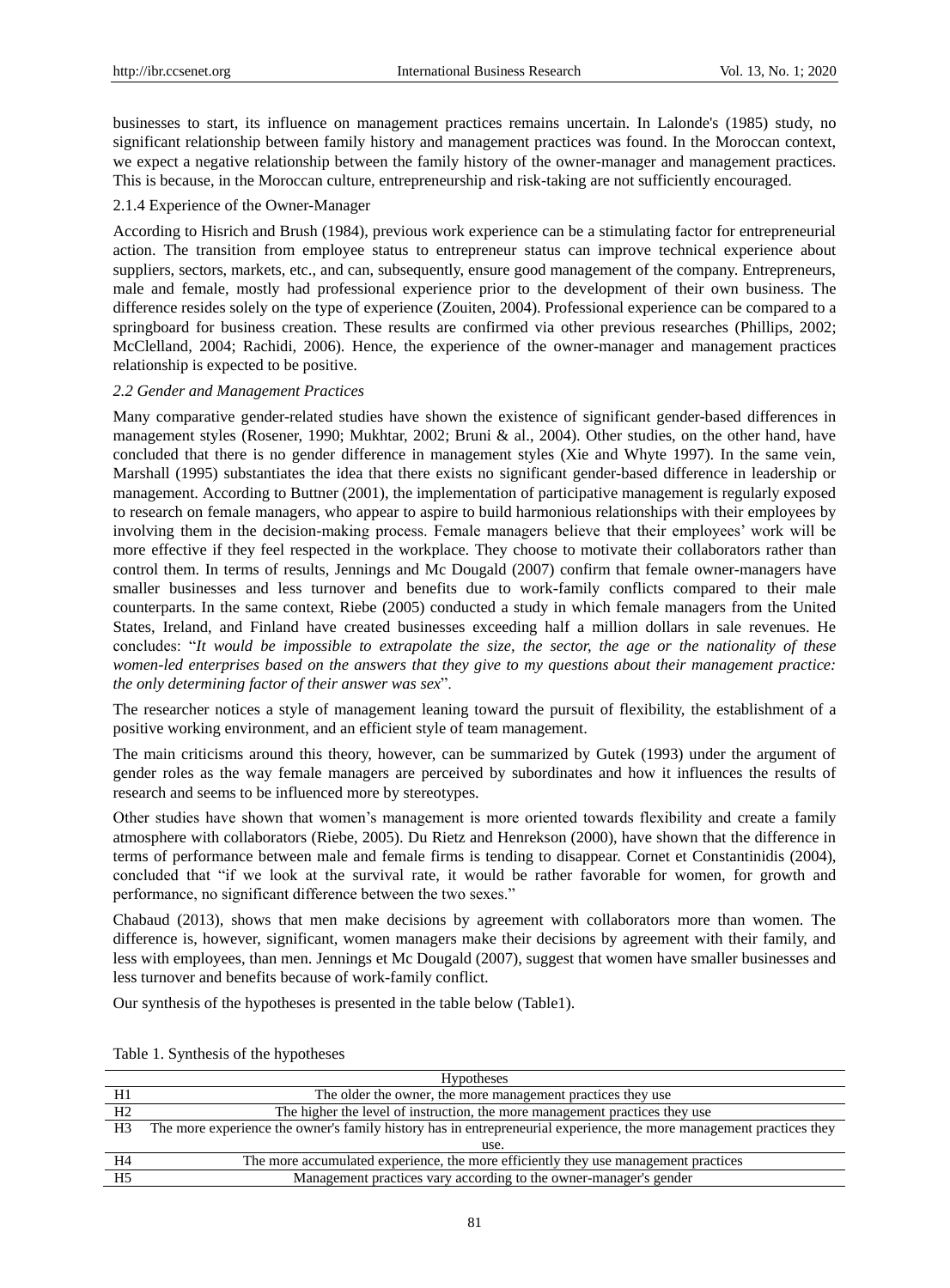businesses to start, its influence on management practices remains uncertain. In Lalonde's (1985) study, no significant relationship between family history and management practices was found. In the Moroccan context, we expect a negative relationship between the family history of the owner-manager and management practices. This is because, in the Moroccan culture, entrepreneurship and risk-taking are not sufficiently encouraged.

## 2.1.4 Experience of the Owner-Manager

According to Hisrich and Brush (1984), previous work experience can be a stimulating factor for entrepreneurial action. The transition from employee status to entrepreneur status can improve technical experience about suppliers, sectors, markets, etc., and can, subsequently, ensure good management of the company. Entrepreneurs, male and female, mostly had professional experience prior to the development of their own business. The difference resides solely on the type of experience (Zouiten, 2004). Professional experience can be compared to a springboard for business creation. These results are confirmed via other previous researches (Phillips, 2002; McClelland, 2004; Rachidi, 2006). Hence, the experience of the owner-manager and management practices relationship is expected to be positive.

#### *2.2 Gender and Management Practices*

Many comparative gender-related studies have shown the existence of significant gender-based differences in management styles (Rosener, 1990; Mukhtar, 2002; Bruni & al., 2004). Other studies, on the other hand, have concluded that there is no gender difference in management styles (Xie and Whyte 1997). In the same vein, Marshall (1995) substantiates the idea that there exists no significant gender-based difference in leadership or management. According to Buttner (2001), the implementation of participative management is regularly exposed to research on female managers, who appear to aspire to build harmonious relationships with their employees by involving them in the decision-making process. Female managers believe that their employees' work will be more effective if they feel respected in the workplace. They choose to motivate their collaborators rather than control them. In terms of results, Jennings and Mc Dougald (2007) confirm that female owner-managers have smaller businesses and less turnover and benefits due to work-family conflicts compared to their male counterparts. In the same context, Riebe (2005) conducted a study in which female managers from the United States, Ireland, and Finland have created businesses exceeding half a million dollars in sale revenues. He concludes: "*It would be impossible to extrapolate the size, the sector, the age or the nationality of these women-led enterprises based on the answers that they give to my questions about their management practice: the only determining factor of their answer was sex*".

The researcher notices a style of management leaning toward the pursuit of flexibility, the establishment of a positive working environment, and an efficient style of team management.

The main criticisms around this theory, however, can be summarized by Gutek (1993) under the argument of gender roles as the way female managers are perceived by subordinates and how it influences the results of research and seems to be influenced more by stereotypes.

Other studies have shown that women's management is more oriented towards flexibility and create a family atmosphere with collaborators (Riebe, 2005). Du Rietz and Henrekson (2000), have shown that the difference in terms of performance between male and female firms is tending to disappear. Cornet et Constantinidis (2004), concluded that "if we look at the survival rate, it would be rather favorable for women, for growth and performance, no significant difference between the two sexes."

Chabaud (2013), shows that men make decisions by agreement with collaborators more than women. The difference is, however, significant, women managers make their decisions by agreement with their family, and less with employees, than men. Jennings et Mc Dougald (2007), suggest that women have smaller businesses and less turnover and benefits because of work-family conflict.

Our synthesis of the hypotheses is presented in the table below (Table1).

| <b>Hypotheses</b>                                                                                                    |  |  |
|----------------------------------------------------------------------------------------------------------------------|--|--|
|                                                                                                                      |  |  |
|                                                                                                                      |  |  |
| The more experience the owner's family history has in entrepreneurial experience, the more management practices they |  |  |
| use.                                                                                                                 |  |  |
| The more accumulated experience, the more efficiently they use management practices                                  |  |  |
|                                                                                                                      |  |  |
|                                                                                                                      |  |  |

Table 1. Synthesis of the hypotheses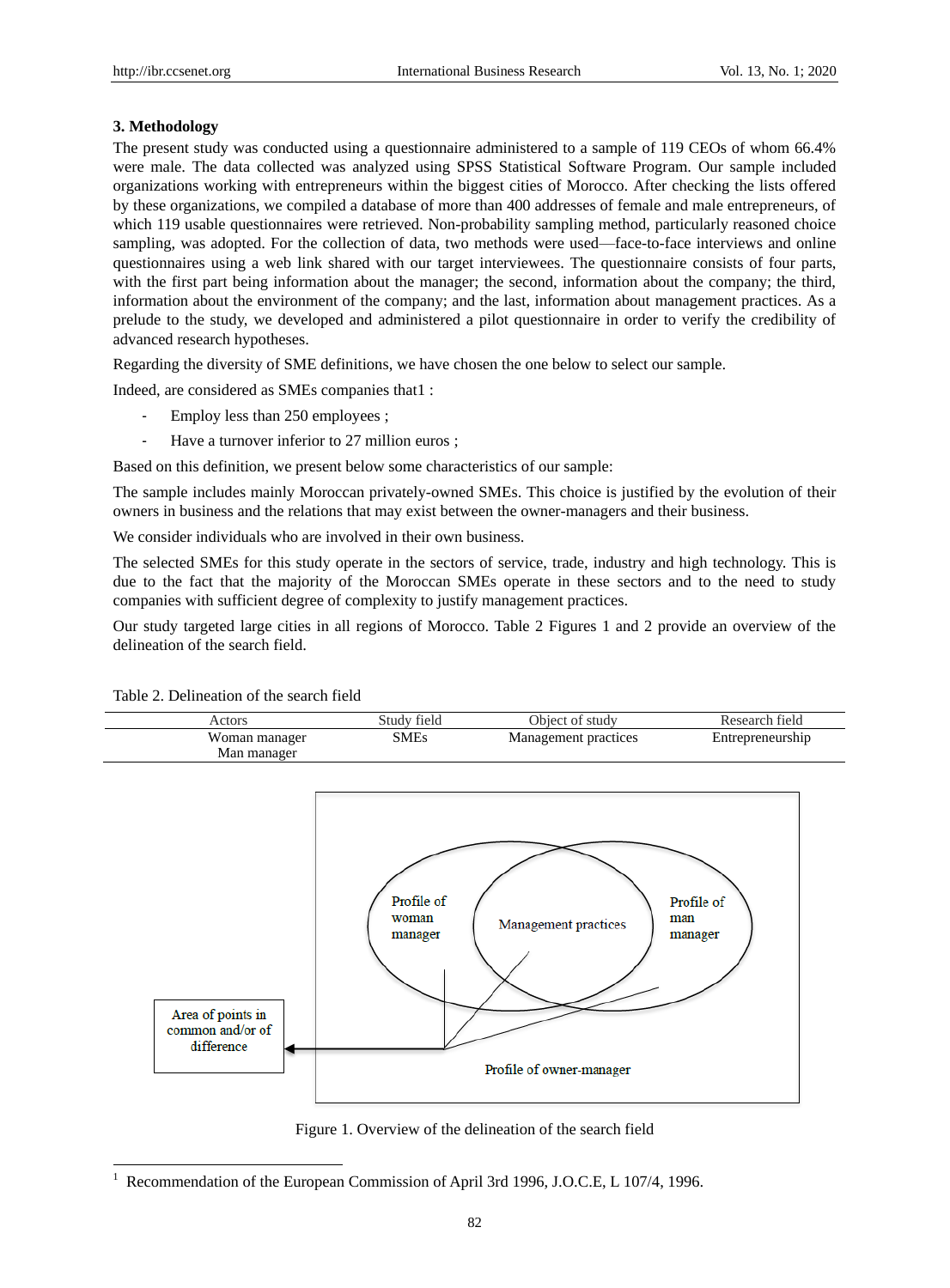# **3. Methodology**

The present study was conducted using a questionnaire administered to a sample of 119 CEOs of whom 66.4% were male. The data collected was analyzed using SPSS Statistical Software Program. Our sample included organizations working with entrepreneurs within the biggest cities of Morocco. After checking the lists offered by these organizations, we compiled a database of more than 400 addresses of female and male entrepreneurs, of which 119 usable questionnaires were retrieved. Non-probability sampling method, particularly reasoned choice sampling, was adopted. For the collection of data, two methods were used—face-to-face interviews and online questionnaires using a web link shared with our target interviewees. The questionnaire consists of four parts, with the first part being information about the manager; the second, information about the company; the third, information about the environment of the company; and the last, information about management practices. As a prelude to the study, we developed and administered a pilot questionnaire in order to verify the credibility of advanced research hypotheses.

Regarding the diversity of SME definitions, we have chosen the one below to select our sample.

Indeed, are considered as SMEs companies that1 :

- Employ less than 250 employees ;
- Have a turnover inferior to 27 million euros ;

Based on this definition, we present below some characteristics of our sample:

The sample includes mainly Moroccan privately-owned SMEs. This choice is justified by the evolution of their owners in business and the relations that may exist between the owner-managers and their business.

We consider individuals who are involved in their own business.

The selected SMEs for this study operate in the sectors of service, trade, industry and high technology. This is due to the fact that the majority of the Moroccan SMEs operate in these sectors and to the need to study companies with sufficient degree of complexity to justify management practices.

Our study targeted large cities in all regions of Morocco. Table 2 Figures 1 and 2 provide an overview of the delineation of the search field.





# Table 2. Delineation of the search field

-

Figure 1. Overview of the delineation of the search field

Recommendation of the European Commission of April 3rd 1996, J.O.C.E, L 107/4, 1996.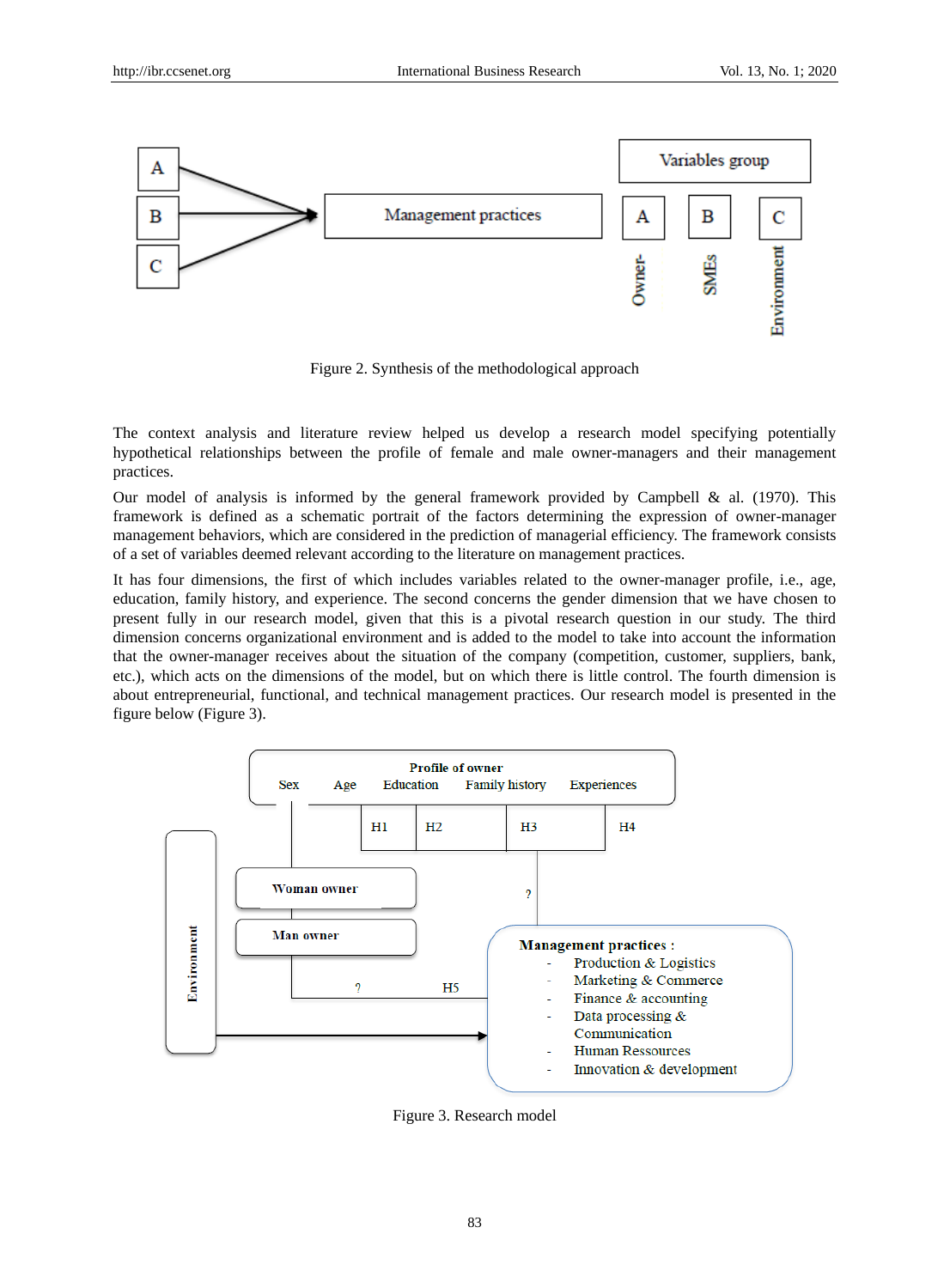

Figure 2. Synthesis of the methodological approach

The context analysis and literature review helped us develop a research model specifying potentially hypothetical relationships between the profile of female and male owner-managers and their management practices.

Our model of analysis is informed by the general framework provided by Campbell & al. (1970). This framework is defined as a schematic portrait of the factors determining the expression of owner-manager management behaviors, which are considered in the prediction of managerial efficiency. The framework consists of a set of variables deemed relevant according to the literature on management practices.

It has four dimensions, the first of which includes variables related to the owner-manager profile, i.e., age, education, family history, and experience. The second concerns the gender dimension that we have chosen to present fully in our research model, given that this is a pivotal research question in our study. The third dimension concerns organizational environment and is added to the model to take into account the information that the owner-manager receives about the situation of the company (competition, customer, suppliers, bank, etc.), which acts on the dimensions of the model, but on which there is little control. The fourth dimension is about entrepreneurial, functional, and technical management practices. Our research model is presented in the figure below (Figure 3).



Figure 3. Research model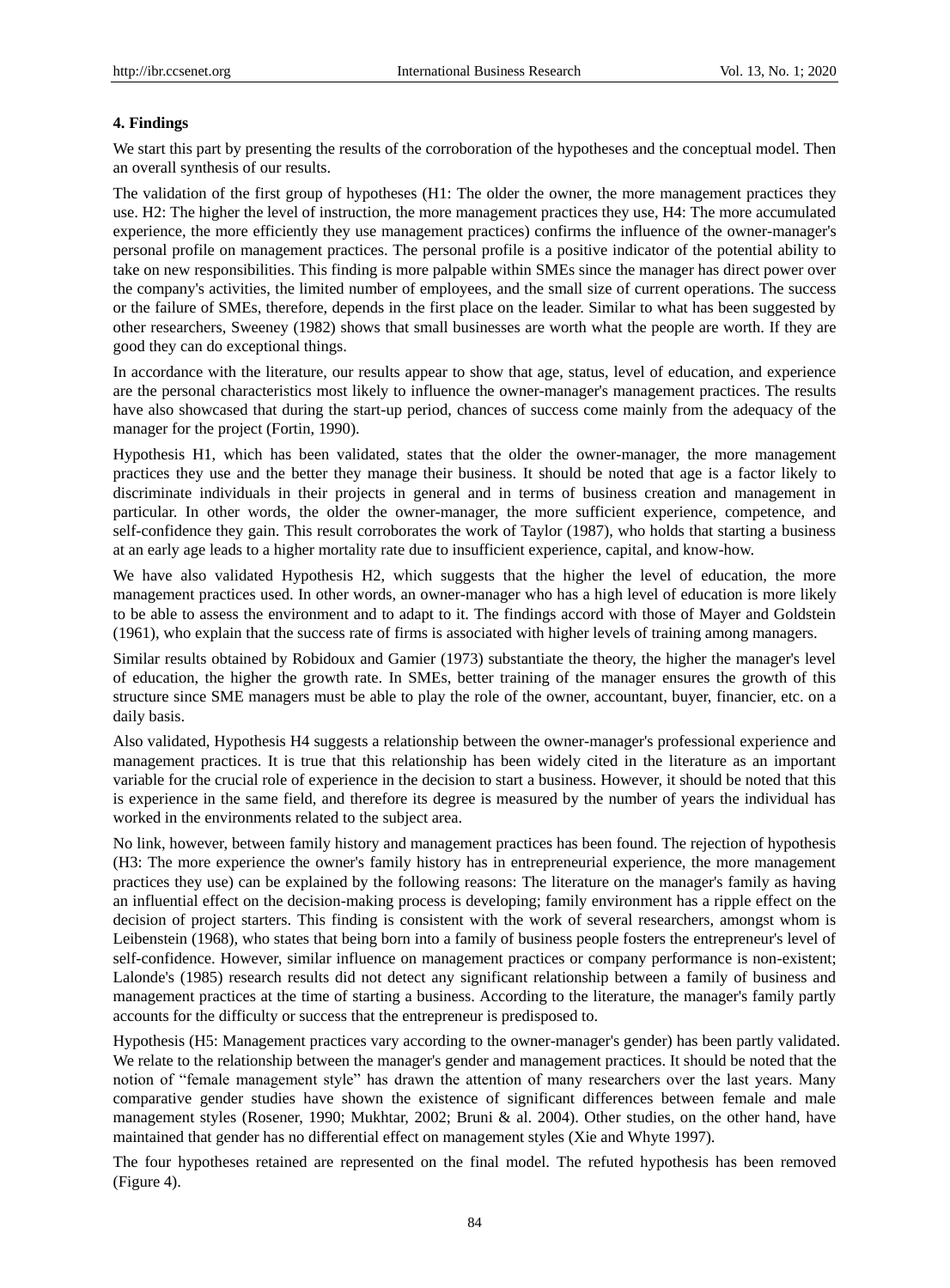## **4. Findings**

We start this part by presenting the results of the corroboration of the hypotheses and the conceptual model. Then an overall synthesis of our results.

The validation of the first group of hypotheses (H1: The older the owner, the more management practices they use. H2: The higher the level of instruction, the more management practices they use, H4: The more accumulated experience, the more efficiently they use management practices) confirms the influence of the owner-manager's personal profile on management practices. The personal profile is a positive indicator of the potential ability to take on new responsibilities. This finding is more palpable within SMEs since the manager has direct power over the company's activities, the limited number of employees, and the small size of current operations. The success or the failure of SMEs, therefore, depends in the first place on the leader. Similar to what has been suggested by other researchers, Sweeney (1982) shows that small businesses are worth what the people are worth. If they are good they can do exceptional things.

In accordance with the literature, our results appear to show that age, status, level of education, and experience are the personal characteristics most likely to influence the owner-manager's management practices. The results have also showcased that during the start-up period, chances of success come mainly from the adequacy of the manager for the project (Fortin, 1990).

Hypothesis H1, which has been validated, states that the older the owner-manager, the more management practices they use and the better they manage their business. It should be noted that age is a factor likely to discriminate individuals in their projects in general and in terms of business creation and management in particular. In other words, the older the owner-manager, the more sufficient experience, competence, and self-confidence they gain. This result corroborates the work of Taylor (1987), who holds that starting a business at an early age leads to a higher mortality rate due to insufficient experience, capital, and know-how.

We have also validated Hypothesis H2, which suggests that the higher the level of education, the more management practices used. In other words, an owner-manager who has a high level of education is more likely to be able to assess the environment and to adapt to it. The findings accord with those of Mayer and Goldstein (1961), who explain that the success rate of firms is associated with higher levels of training among managers.

Similar results obtained by Robidoux and Gamier (1973) substantiate the theory, the higher the manager's level of education, the higher the growth rate. In SMEs, better training of the manager ensures the growth of this structure since SME managers must be able to play the role of the owner, accountant, buyer, financier, etc. on a daily basis.

Also validated, Hypothesis H4 suggests a relationship between the owner-manager's professional experience and management practices. It is true that this relationship has been widely cited in the literature as an important variable for the crucial role of experience in the decision to start a business. However, it should be noted that this is experience in the same field, and therefore its degree is measured by the number of years the individual has worked in the environments related to the subject area.

No link, however, between family history and management practices has been found. The rejection of hypothesis (H3: The more experience the owner's family history has in entrepreneurial experience, the more management practices they use) can be explained by the following reasons: The literature on the manager's family as having an influential effect on the decision-making process is developing; family environment has a ripple effect on the decision of project starters. This finding is consistent with the work of several researchers, amongst whom is Leibenstein (1968), who states that being born into a family of business people fosters the entrepreneur's level of self-confidence. However, similar influence on management practices or company performance is non-existent; Lalonde's (1985) research results did not detect any significant relationship between a family of business and management practices at the time of starting a business. According to the literature, the manager's family partly accounts for the difficulty or success that the entrepreneur is predisposed to.

Hypothesis (H5: Management practices vary according to the owner-manager's gender) has been partly validated. We relate to the relationship between the manager's gender and management practices. It should be noted that the notion of "female management style" has drawn the attention of many researchers over the last years. Many comparative gender studies have shown the existence of significant differences between female and male management styles (Rosener, 1990; Mukhtar, 2002; Bruni & al. 2004). Other studies, on the other hand, have maintained that gender has no differential effect on management styles (Xie and Whyte 1997).

The four hypotheses retained are represented on the final model. The refuted hypothesis has been removed (Figure 4).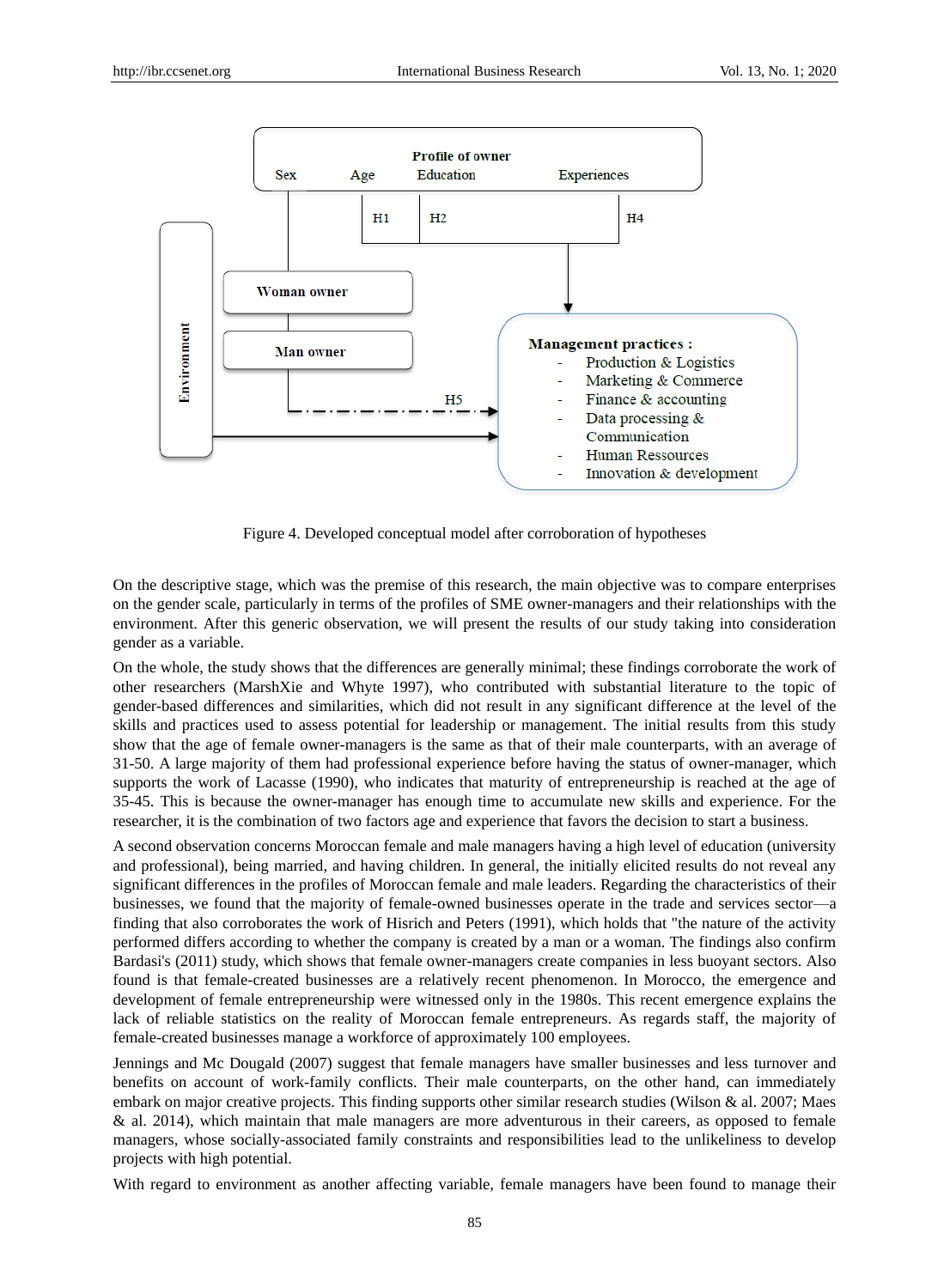

Figure 4. Developed conceptual model after corroboration of hypotheses

On the descriptive stage, which was the premise of this research, the main objective was to compare enterprises on the gender scale, particularly in terms of the profiles of SME owner-managers and their relationships with the environment. After this generic observation, we will present the results of our study taking into consideration gender as a variable.

On the whole, the study shows that the differences are generally minimal; these findings corroborate the work of other researchers (MarshXie and Whyte 1997), who contributed with substantial literature to the topic of gender-based differences and similarities, which did not result in any significant difference at the level of the skills and practices used to assess potential for leadership or management. The initial results from this study show that the age of female owner-managers is the same as that of their male counterparts, with an average of 31-50. A large majority of them had professional experience before having the status of owner-manager, which supports the work of Lacasse (1990), who indicates that maturity of entrepreneurship is reached at the age of 35-45. This is because the owner-manager has enough time to accumulate new skills and experience. For the researcher, it is the combination of two factors age and experience that favors the decision to start a business.

A second observation concerns Moroccan female and male managers having a high level of education (university and professional), being married, and having children. In general, the initially elicited results do not reveal any significant differences in the profiles of Moroccan female and male leaders. Regarding the characteristics of their businesses, we found that the majority of female-owned businesses operate in the trade and services sector—a finding that also corroborates the work of Hisrich and Peters (1991), which holds that "the nature of the activity performed differs according to whether the company is created by a man or a woman. The findings also confirm Bardasi's (2011) study, which shows that female owner-managers create companies in less buoyant sectors. Also found is that female-created businesses are a relatively recent phenomenon. In Morocco, the emergence and development of female entrepreneurship were witnessed only in the 1980s. This recent emergence explains the lack of reliable statistics on the reality of Moroccan female entrepreneurs. As regards staff, the majority of female-created businesses manage a workforce of approximately 100 employees.

Jennings and Mc Dougald (2007) suggest that female managers have smaller businesses and less turnover and benefits on account of work-family conflicts. Their male counterparts, on the other hand, can immediately embark on major creative projects. This finding supports other similar research studies (Wilson & al. 2007; Maes & al. 2014), which maintain that male managers are more adventurous in their careers, as opposed to female managers, whose socially-associated family constraints and responsibilities lead to the unlikeliness to develop projects with high potential.

With regard to environment as another affecting variable, female managers have been found to manage their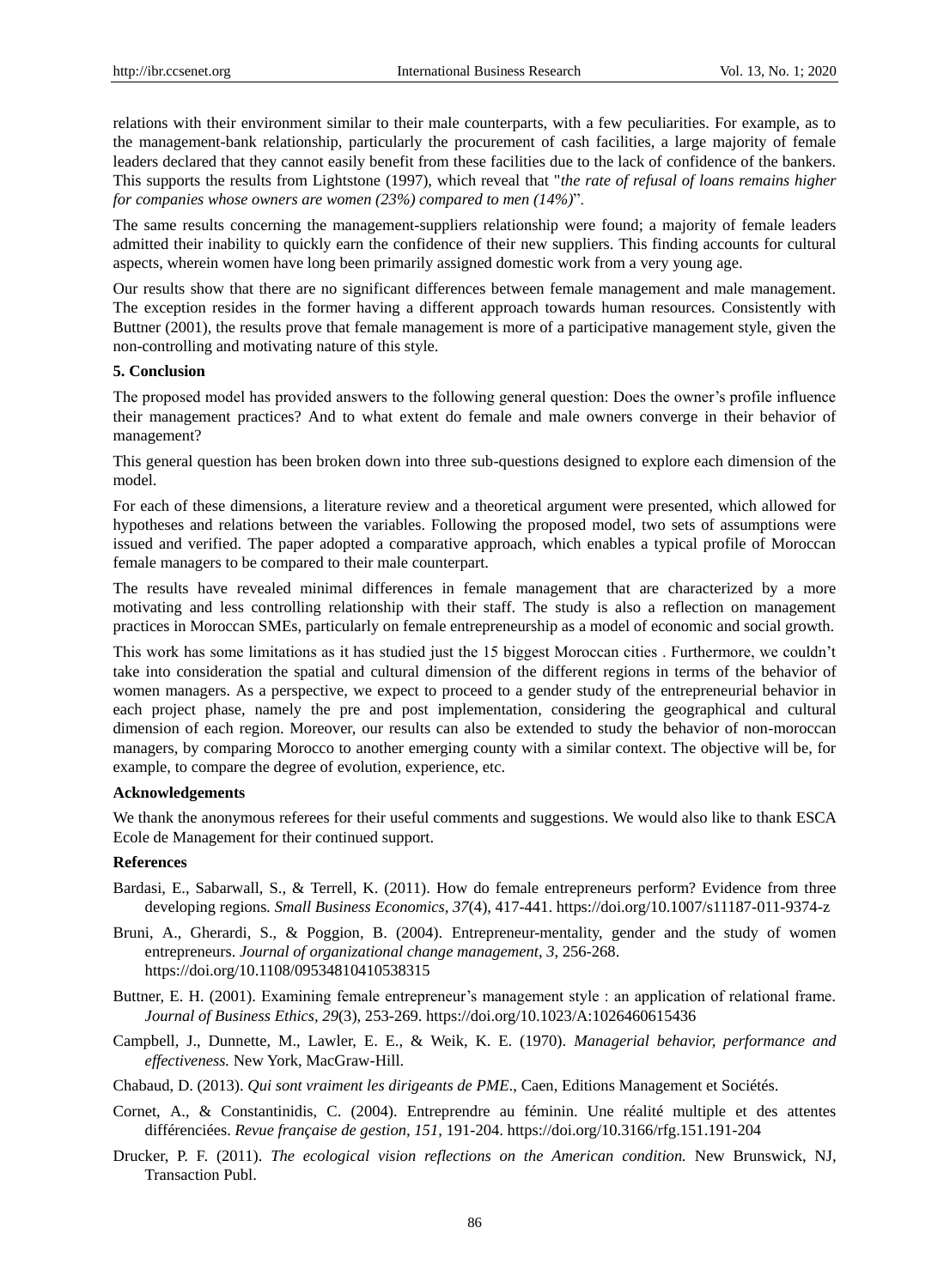relations with their environment similar to their male counterparts, with a few peculiarities. For example, as to the management-bank relationship, particularly the procurement of cash facilities, a large majority of female leaders declared that they cannot easily benefit from these facilities due to the lack of confidence of the bankers. This supports the results from Lightstone (1997), which reveal that "*the rate of refusal of loans remains higher for companies whose owners are women (23%) compared to men (14%)*".

The same results concerning the management-suppliers relationship were found; a majority of female leaders admitted their inability to quickly earn the confidence of their new suppliers. This finding accounts for cultural aspects, wherein women have long been primarily assigned domestic work from a very young age.

Our results show that there are no significant differences between female management and male management. The exception resides in the former having a different approach towards human resources. Consistently with Buttner (2001), the results prove that female management is more of a participative management style, given the non-controlling and motivating nature of this style.

#### **5. Conclusion**

The proposed model has provided answers to the following general question: Does the owner's profile influence their management practices? And to what extent do female and male owners converge in their behavior of management?

This general question has been broken down into three sub-questions designed to explore each dimension of the model.

For each of these dimensions, a literature review and a theoretical argument were presented, which allowed for hypotheses and relations between the variables. Following the proposed model, two sets of assumptions were issued and verified. The paper adopted a comparative approach, which enables a typical profile of Moroccan female managers to be compared to their male counterpart.

The results have revealed minimal differences in female management that are characterized by a more motivating and less controlling relationship with their staff. The study is also a reflection on management practices in Moroccan SMEs, particularly on female entrepreneurship as a model of economic and social growth.

This work has some limitations as it has studied just the 15 biggest Moroccan cities . Furthermore, we couldn't take into consideration the spatial and cultural dimension of the different regions in terms of the behavior of women managers. As a perspective, we expect to proceed to a gender study of the entrepreneurial behavior in each project phase, namely the pre and post implementation, considering the geographical and cultural dimension of each region. Moreover, our results can also be extended to study the behavior of non-moroccan managers, by comparing Morocco to another emerging county with a similar context. The objective will be, for example, to compare the degree of evolution, experience, etc.

#### **Acknowledgements**

We thank the anonymous referees for their useful comments and suggestions. We would also like to thank ESCA Ecole de Management for their continued support.

## **References**

- Bardasi, E., Sabarwall, S., & Terrell, K. (2011). How do female entrepreneurs perform? Evidence from three developing regions*. Small Business Economics, 37*(4), 417-441. <https://doi.org/10.1007/s11187-011-9374-z>
- Bruni, A., Gherardi, S., & Poggion, B. (2004). Entrepreneur-mentality, gender and the study of women entrepreneurs. *Journal of organizational change management*, *3*, 256-268. <https://doi.org/10.1108/09534810410538315>
- Buttner, E. H. (2001). Examining female entrepreneur's management style : an application of relational frame*. Journal of Business Ethics, 29*(3), 253-269.<https://doi.org/10.1023/A:1026460615436>
- Campbell, J., Dunnette, M., Lawler, E. E., & Weik, K. E. (1970). *Managerial behavior, performance and effectiveness.* New York, MacGraw-Hill.
- Chabaud, D. (2013). *Qui sont vraiment les dirigeants de PME*., Caen, Editions Management et Sociétés.
- Cornet, A., & Constantinidis, C. (2004). Entreprendre au féminin. Une réalité multiple et des attentes différenciées. *Revue française de gestion, 151*, 191-204. <https://doi.org/10.3166/rfg.151.191-204>
- Drucker, P. F. (2011). *The ecological vision reflections on the American condition.* New Brunswick, NJ, Transaction Publ.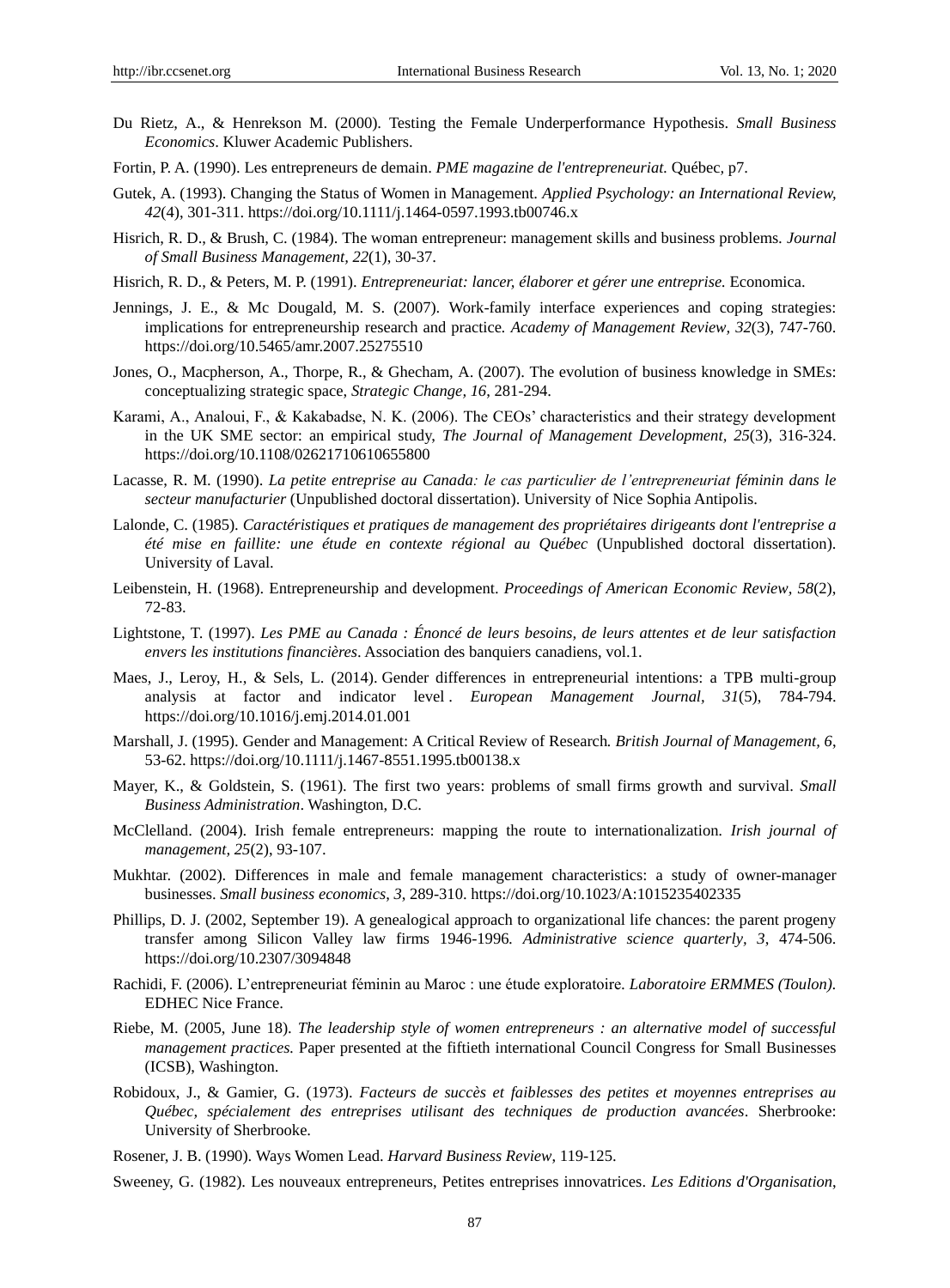- Du Rietz, A., & Henrekson M. (2000). Testing the Female Underperformance Hypothesis. *Small Business Economics*. Kluwer Academic Publishers.
- Fortin, P. A. (1990). Les entrepreneurs de demain. *PME magazine de l'entrepreneuriat.* Québec*,* p7.
- Gutek, A. (1993). Changing the Status of Women in Management. *Applied Psychology: an International Review, 42*(4), 301-311[. https://doi.org/10.1111/j.1464-0597.1993.tb00746.x](https://doi.org/10.1111/j.1464-0597.1993.tb00746.x)
- Hisrich, R. D., & Brush, C. (1984). The woman entrepreneur: management skills and business problems*. Journal of Small Business Management, 22*(1), 30-37.
- Hisrich, R. D., & Peters, M. P. (1991). *Entrepreneuriat: lancer, élaborer et gérer une entreprise.* Economica.
- Jennings, J. E., & Mc Dougald, M. S. (2007). Work-family interface experiences and coping strategies: implications for entrepreneurship research and practice*. Academy of Management Review, 32*(3), 747-760. <https://doi.org/10.5465/amr.2007.25275510>
- Jones, O., Macpherson, A., Thorpe, R., & Ghecham, A. (2007). The evolution of business knowledge in SMEs: conceptualizing strategic space, *Strategic Change, 16*, 281-294.
- Karami, A., Analoui, F., & Kakabadse, N. K. (2006). The CEOs' characteristics and their strategy development in the UK SME sector: an empirical study, *The Journal of Management Development, 25*(3), 316-324. <https://doi.org/10.1108/02621710610655800>
- Lacasse, R. M. (1990). *La petite entreprise au Canada: le cas particulier de l'entrepreneuriat féminin dans le secteur manufacturier* (Unpublished doctoral dissertation). University of Nice Sophia Antipolis.
- Lalonde, C. (1985). *Caract éristiques et pratiques de management des propri étaires dirigeants dont l'entreprise a été mise en faillite: une étude en contexte régional au Québec* (Unpublished doctoral dissertation). University of Laval.
- Leibenstein, H. (1968). Entrepreneurship and development. *Proceedings of American Economic Review, 58*(2), 72-83.
- Lightstone, T. (1997). *Les PME au Canada : Énoncé de leurs besoins, de leurs attentes et de leur satisfaction envers les institutions financières*. Association des banquiers canadiens, vol.1.
- Maes, J., Leroy, H., & Sels, L. (2014). Gender differences in entrepreneurial intentions: a TPB multi-group analysis at factor and indicator level . *European Management Journal, 31*(5), 784*-*794. <https://doi.org/10.1016/j.emj.2014.01.001>
- Marshall, J. (1995). Gender and Management: A Critical Review of Research*. British Journal of Management, 6*, 53-62.<https://doi.org/10.1111/j.1467-8551.1995.tb00138.x>
- Mayer, K., & Goldstein, S. (1961). The first two years: problems of small firms growth and survival. *Small Business Administration*. Washington, D.C.
- McClelland. (2004). Irish female entrepreneurs: mapping the route to internationalization*. Irish journal of management, 25*(2), 93-107.
- Mukhtar. (2002). Differences in male and female management characteristics: a study of owner-manager businesses. *Small business economics*, *3*, 289-310.<https://doi.org/10.1023/A:1015235402335>
- Phillips, D. J. (2002, September 19). A genealogical approach to organizational life chances: the parent progeny transfer among Silicon Valley law firms 1946-1996*. Administrative science quarterly, 3*, 474-506. <https://doi.org/10.2307/3094848>
- Rachidi, F. (2006). L'entrepreneuriat féminin au Maroc : une étude exploratoire*. Laboratoire ERMMES (Toulon).* EDHEC Nice France.
- Riebe, M. (2005, June 18). *The leadership style of women entrepreneurs : an alternative model of successful management practices.* Paper presented at the fiftieth international Council Congress for Small Businesses (ICSB), Washington.
- Robidoux, J., & Gamier, G. (1973). *Facteurs de succès et faiblesses des petites et moyennes entreprises au Québec, spécialement des entreprises utilisant des techniques de production avancées*. Sherbrooke: University of Sherbrooke.
- Rosener, J. B. (1990). Ways Women Lead. *Harvard Business Review*, 119-125.

Sweeney, G. (1982). Les nouveaux entrepreneurs, Petites entreprises innovatrices. *Les Editions d'Organisation*,